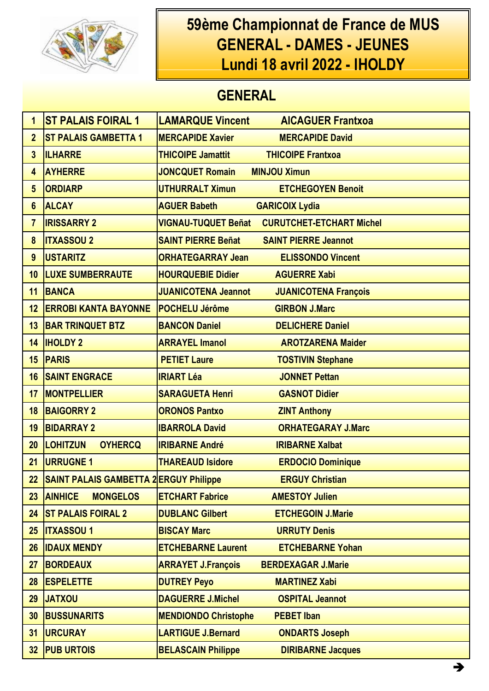

## 59ème Championnat de France de MUS **GENERAL - DAMES - JEUNES** Lundi 18 avril 2022 - IHOLDY

## **GENERAL**

| 1               | <b>ST PALAIS FOIRAL 1</b>                     | <b>LAMARQUE Vincent</b>     | <b>AICAGUER Frantxoa</b>        |
|-----------------|-----------------------------------------------|-----------------------------|---------------------------------|
| $\overline{2}$  | <b>ST PALAIS GAMBETTA 1</b>                   | <b>MERCAPIDE Xavier</b>     | <b>MERCAPIDE David</b>          |
| $\overline{3}$  | <b>ILHARRE</b>                                | <b>THICOIPE Jamattit</b>    | <b>THICOIPE Frantxoa</b>        |
| 4               | <b>AYHERRE</b>                                | <b>JONCQUET Romain</b>      | <b>MINJOU Ximun</b>             |
| 5               | <b>ORDIARP</b>                                | <b>UTHURRALT Ximun</b>      | <b>ETCHEGOYEN Benoit</b>        |
| 6               | <b>ALCAY</b>                                  | <b>AGUER Babeth</b>         | <b>GARICOIX Lydia</b>           |
| $\overline{7}$  | <b>IRISSARRY 2</b>                            | <b>VIGNAU-TUQUET Beñat</b>  | <b>CURUTCHET-ETCHART Michel</b> |
| 8               | <b>ITXASSOU 2</b>                             | <b>SAINT PIERRE Beñat</b>   | <b>SAINT PIERRE Jeannot</b>     |
| 9               | <b>USTARITZ</b>                               | <b>ORHATEGARRAY Jean</b>    | <b>ELISSONDO Vincent</b>        |
| 10              | <b>LUXE SUMBERRAUTE</b>                       | <b>HOURQUEBIE Didier</b>    | <b>AGUERRE Xabi</b>             |
| 11              | <b>BANCA</b>                                  | <b>JUANICOTENA Jeannot</b>  | <b>JUANICOTENA François</b>     |
| 12              | <b>ERROBI KANTA BAYONNE</b>                   | <b>POCHELU Jérôme</b>       | <b>GIRBON J.Marc</b>            |
| 13              | <b>BAR TRINQUET BTZ</b>                       | <b>BANCON Daniel</b>        | <b>DELICHERE Daniel</b>         |
| 14              | <b>IHOLDY 2</b>                               | <b>ARRAYEL Imanol</b>       | <b>AROTZARENA Maider</b>        |
| 15              | <b>PARIS</b>                                  | <b>PETIET Laure</b>         | <b>TOSTIVIN Stephane</b>        |
| 16              | <b>SAINT ENGRACE</b>                          | <b>IRIART Léa</b>           | <b>JONNET Pettan</b>            |
| 17              | <b>MONTPELLIER</b>                            | <b>SARAGUETA Henri</b>      | <b>GASNOT Didier</b>            |
| 18              | <b>BAIGORRY 2</b>                             | <b>ORONOS Pantxo</b>        | <b>ZINT Anthony</b>             |
| 19              | <b>BIDARRAY 2</b>                             | <b>IBARROLA David</b>       | <b>ORHATEGARAY J.Marc</b>       |
| 20              | <b>LOHITZUN</b><br><b>OYHERCQ</b>             | <b>IRIBARNE André</b>       | <b>IRIBARNE Xalbat</b>          |
| 21              | <b>URRUGNE 1</b>                              | <b>THAREAUD Isidore</b>     | <b>ERDOCIO Dominique</b>        |
| 22              | <b>SAINT PALAIS GAMBETTA 2 ERGUY Philippe</b> |                             | <b>ERGUY Christian</b>          |
| 23              | <b>MONGELOS</b><br><b>AINHICE</b>             | <b>ETCHART Fabrice</b>      | <b>AMESTOY Julien</b>           |
| 24              | <b>ST PALAIS FOIRAL 2</b>                     | <b>DUBLANC Gilbert</b>      | <b>ETCHEGOIN J.Marie</b>        |
| 25              | <b>ITXASSOU1</b>                              | <b>BISCAY Marc</b>          | <b>URRUTY Denis</b>             |
| 26              | <b>IDAUX MENDY</b>                            | <b>ETCHEBARNE Laurent</b>   | <b>ETCHEBARNE Yohan</b>         |
| 27              | <b>BORDEAUX</b>                               | <b>ARRAYET J.François</b>   | <b>BERDEXAGAR J.Marie</b>       |
| 28              | <b>ESPELETTE</b>                              | <b>DUTREY Peyo</b>          | <b>MARTINEZ Xabi</b>            |
| 29              | <b>JATXOU</b>                                 | <b>DAGUERRE J.Michel</b>    | <b>OSPITAL Jeannot</b>          |
| 30              | <b>BUSSUNARITS</b>                            | <b>MENDIONDO Christophe</b> | <b>PEBET Iban</b>               |
| 31              | <b>URCURAY</b>                                | <b>LARTIGUE J.Bernard</b>   | <b>ONDARTS Joseph</b>           |
| 32 <sub>2</sub> | <b>PUB URTOIS</b>                             | <b>BELASCAIN Philippe</b>   | <b>DIRIBARNE Jacques</b>        |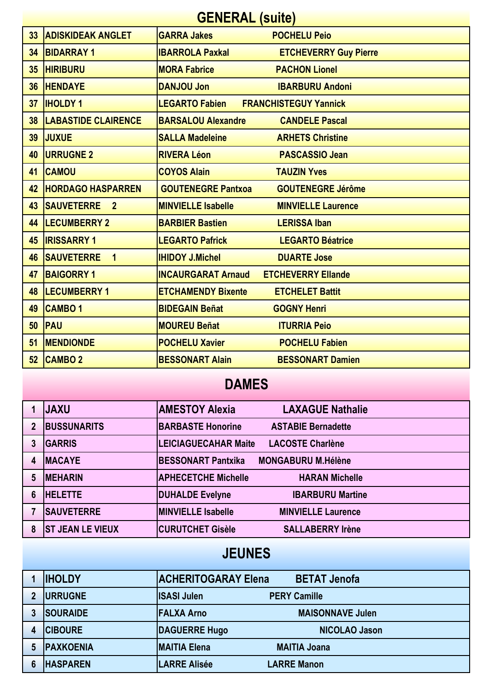| <b>GENERAL (suite)</b> |                                     |                           |                              |
|------------------------|-------------------------------------|---------------------------|------------------------------|
| 33                     | <b>ADISKIDEAK ANGLET</b>            | <b>GARRA Jakes</b>        | <b>POCHELU Peio</b>          |
| 34                     | <b>BIDARRAY1</b>                    | <b>IBARROLA Paxkal</b>    | <b>ETCHEVERRY Guy Pierre</b> |
| 35                     | <b>HIRIBURU</b>                     | <b>MORA Fabrice</b>       | <b>PACHON Lionel</b>         |
| 36                     | <b>HENDAYE</b>                      | <b>DANJOU Jon</b>         | <b>IBARBURU Andoni</b>       |
| 37                     | <b>IHOLDY 1</b>                     | <b>LEGARTO Fabien</b>     | <b>FRANCHISTEGUY Yannick</b> |
| 38                     | <b>LABASTIDE CLAIRENCE</b>          | <b>BARSALOU Alexandre</b> | <b>CANDELE Pascal</b>        |
| 39                     | <b>JUXUE</b>                        | <b>SALLA Madeleine</b>    | <b>ARHETS Christine</b>      |
| 40                     | <b>URRUGNE 2</b>                    | <b>RIVERA Léon</b>        | <b>PASCASSIO Jean</b>        |
| 41                     | <b>CAMOU</b>                        | <b>COYOS Alain</b>        | <b>TAUZIN Yves</b>           |
| 42                     | <b>HORDAGO HASPARREN</b>            | <b>GOUTENEGRE Pantxoa</b> | <b>GOUTENEGRE Jérôme</b>     |
| 43                     | <b>SAUVETERRE</b><br>$\overline{2}$ | <b>MINVIELLE Isabelle</b> | <b>MINVIELLE Laurence</b>    |
| 44                     | <b>LECUMBERRY 2</b>                 | <b>BARBIER Bastien</b>    | <b>LERISSA Iban</b>          |
| 45                     | <b>IRISSARRY 1</b>                  | <b>LEGARTO Pafrick</b>    | <b>LEGARTO Béatrice</b>      |
| 46                     | <b>SAUVETERRE</b><br>$\overline{1}$ | <b>IHIDOY J.Michel</b>    | <b>DUARTE Jose</b>           |
| 47                     | <b>BAIGORRY 1</b>                   | <b>INCAURGARAT Arnaud</b> | <b>ETCHEVERRY Ellande</b>    |
| 48                     | <b>LECUMBERRY 1</b>                 | <b>ETCHAMENDY Bixente</b> | <b>ETCHELET Battit</b>       |
| 49                     | <b>CAMBO1</b>                       | <b>BIDEGAIN Beñat</b>     | <b>GOGNY Henri</b>           |
| 50                     | <b>PAU</b>                          | <b>MOUREU Beñat</b>       | <b>ITURRIA Peio</b>          |
| 51                     | <b>MENDIONDE</b>                    | <b>POCHELU Xavier</b>     | <b>POCHELU Fabien</b>        |
| 52                     | <b>CAMBO 2</b>                      | <b>BESSONART Alain</b>    | <b>BESSONART Damien</b>      |

## **DAMES**

|   | <b>JAXU</b>             | <b>AMESTOY Alexia</b>      | <b>LAXAGUE Nathalie</b>   |
|---|-------------------------|----------------------------|---------------------------|
|   | <b>BUSSUNARITS</b>      | <b>BARBASTE Honorine</b>   | <b>ASTABIE Bernadette</b> |
|   | <b>GARRIS</b>           | LEICIAGUECAHAR Maite       | <b>LACOSTE Charlène</b>   |
|   | <b>MACAYE</b>           | <b>BESSONART Pantxika</b>  | <b>MONGABURU M.Hélène</b> |
| 5 | <b>MEHARIN</b>          | <b>APHECETCHE Michelle</b> | <b>HARAN Michelle</b>     |
| 6 | <b>HELETTE</b>          | <b>DUHALDE Evelyne</b>     | <b>IBARBURU Martine</b>   |
|   | <b>SAUVETERRE</b>       | <b>MINVIELLE Isabelle</b>  | <b>MINVIELLE Laurence</b> |
| 8 | <b>ST JEAN LE VIEUX</b> | <b>CURUTCHET Gisèle</b>    | <b>SALLABERRY Irène</b>   |

## **JEUNES**

|   | <b>IHOLDY</b>     | <b>ACHERITOGARAY Elena</b> | <b>BETAT Jenofa</b>     |
|---|-------------------|----------------------------|-------------------------|
|   | <b>IURRUGNE</b>   | <b>ISASI Julen</b>         | <b>PERY Camille</b>     |
|   | <b>SOURAIDE</b>   | <b>FALXA Arno</b>          | <b>MAISONNAVE Julen</b> |
| 4 | <b>CIBOURE</b>    | <b>DAGUERRE Hugo</b>       | <b>NICOLAO Jason</b>    |
|   | <b>IPAXKOENIA</b> | <b>IMAITIA Elena</b>       | <b>MAITIA Joana</b>     |
|   | <b>HASPAREN</b>   | <b>LARRE Alisée</b>        | <b>LARRE Manon</b>      |